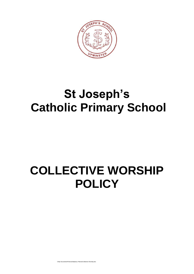

# **St Joseph's Catholic Primary School**

# **COLLECTIVE WORSHIP POLICY**

C\My Documents\Policies\Statutory Policies\Collective Worship.doc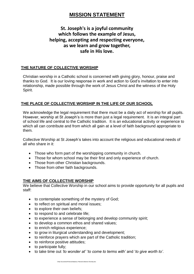## **MISSION STATEMENT**

## **St. Joseph's is a joyful community which follows the example of Jesus, helping, accepting and respecting everyone, as we learn and grow together, safe in His love.**

## **THE NATURE OF COLLECTIVE WORSHIP**

Christian worship in a Catholic school is concerned with giving glory, honour, praise and thanks to God. It is our loving response in work and action to God's invitation to enter into relationship, made possible through the work of Jesus Christ and the witness of the Holy Spirit.

## **THE PLACE OF COLLECTIVE WORSHIP IN THE LIFE OF OUR SCHOOL**

We acknowledge the legal requirement that there must be a daily act of worship for all pupils. However, worship at St Joseph's is more than just a legal requirement. It is an integral part of school life and central to the Catholic tradition. It is an educational activity or experience to which all can contribute and from which all gain at a level of faith background appropriate to them.

Collective Worship at St Joseph's takes into account the religious and educational needs of all who share in it:

- Those who form part of the worshipping community in church.
- Those for whom school may be their first and only experience of church.
- Those from other Christian backgrounds.
- Those from other faith backgrounds.

## **THE AIMS OF COLLECTIVE WORSHIP**

We believe that Collective Worship in our school aims to provide opportunity for all pupils and staff:

- to contemplate something of the mystery of God;
- to reflect on spiritual and moral issues;
- to explore their own beliefs;
- to respond to and celebrate life;
- to experience a sense of belonging and develop community spirit;
- to develop a common ethos and shared values;
- to enrich religious experience;
- to grow in liturgical understanding and development;
- to reinforce prayers which are part of the Catholic tradition;
- to reinforce positive attitudes:
- $\bullet$  to participate fully;
- to take time out *'to wonder at'* '*to come to terms with'* and '*to give worth to'.*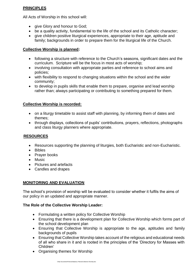## **PRINCIPLES**

All Acts of Worship in this school will:

- give Glory and honour to God;
- be a quality activity, fundamental to the life of the school and its Catholic character;
- give children positive liturgical experiences, appropriate to their age, aptitude and family; backgrounds in order to prepare them for the liturgical life of the Church.

## **Collective Worship is planned:**

- following a structure with reference to the Church's seasons, significant dates and the curriculum. Scripture will be the focus in most acts of worship;
- involving consultation with appropriate parties and reference to school aims and policies;
- with flexibility to respond to changing situations within the school and the wider community;
- to develop in pupils skills that enable them to prepare, organise and lead worship rather than; always participating or contributing to something prepared for them.

## **Collective Worship is recorded:**

- on a liturgy timetable to assist staff with planning, by informing them of dates and themes;
- through displays, collections of pupils' contributions, prayers, reflections, photographs and class liturgy planners where appropriate.

## **RESOURCES**

- Resources supporting the planning of liturgies, both Eucharistic and non-Eucharistic.
- Bibles
- Praver books
- Music
- Pictures and artefacts
- Candles and drapes

## **MONITORING AND EVALUATION**

The school's provision of worship will be evaluated to consider whether it fulfils the aims of our policy in an updated and appropriate manner.

## **The Role of the Collective Worship Leader:**

- Formulating a written policy for Collective Worship
- Ensuring that there is a development plan for Collective Worship which forms part of the school development plan
- Ensuring that Collective Worship is appropriate to the age, aptitudes and family backgrounds of pupils
- Ensuring that Collective Worship takes account of the religious and educational needs of all who share in it and is rooted in the principles of the 'Directory for Masses with Children'
- Organising themes for Worship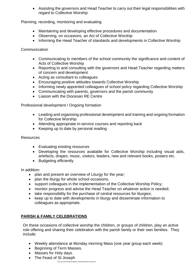Assisting the governors and Head Teacher to carry out their legal responsibilities with regard to Collective Worship

Planning, recording, monitoring and evaluating

- Maintaining and developing effective procedures and documentation
- Observing, on occasions, an Act of Collective Worship
- Informing the Head Teacher of standards and developments in Collective Worship

Communication

- Communicating to members of the school community the significance and content of Acts of Collective Worship
- Reporting to and consulting with the governors and Head Teacher regarding matters of concern and development
- Acting as consultant to colleagues
- Encouraging positive attitudes towards Collective Worship
- Informing newly appointed colleagues of school policy regarding Collective Worship
- Communicating with parents, governors and the parish community
- Liaison with the Diocesan RF Centre

Professional development / Ongoing formation

- Leading and organising professional development and training and ongoing formation for Collective Worship
- Attending appropriate in-service courses and reporting back
- Keeping up to date by personal reading

#### Resources

- Evaluating existing resources
- Developing the resources available for Collective Worship including visual aids, artefacts, drapes, music, visitors, leaders, new and relevant books, posters etc.
- Budgeting efficiently

In addition:

- plan and present an overview of Liturgy for the year;
- plan the liturgy for whole school occasions;
- support colleagues in the implementation of the Collective Worship Policy;
- monitor progress and advise the Head Teacher on whatever action is needed;
- take responsibility for the purchase of central resources for liturgies;
- keep up to date with developments in liturgy and disseminate information to colleagues as appropriate.

## **PARISH & FAMILY CELEBRATIONS**

On these occasions of collective worship the children, or groups of children, play an active role offering and sharing their celebration with the parish family or their own families. They include:

- Weekly attendance at Monday morning Mass (one year group each week)
- Beginning of Term Masses.
- Masses for Holy days.
- The Feast of St Joseph

C\My Documents\Policies\Statutory Policies\Collective Worship.doc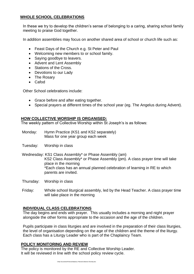## **WHOLE SCHOOL CELEBRATIONS**

In these we try to develop the children's sense of belonging to a caring, sharing school family meeting to praise God together.

In addition assemblies may focus on another shared area of school or church life such as:

- Feast Days of the Church e.g. St Peter and Paul
- Welcoming new members to or school family.
- Saying goodbye to leavers.
- Advent and Lent Assembly
- Stations of the Cross.
- Devotions to our Lady
- The Rosarv
- Cafod

Other School celebrations include:

- Grace before and after eating together.
- Special prayers at different times of the school year (eg. The Angelus during Advent).

## **HOW COLLECTIVE WORSHIP IS ORGANISED:**

The weekly pattern of Collective Worship within St Joseph's is as follows:

- Monday: Hymn Practice (KS1 and KS2 separately) Mass for one year group each week
- Tuesday: Worship in class

Wednesday: KS1 Class Assembly\* or Phase Assembly (am) KS2 Class Assembly\* or Phase Assembly (pm). A class prayer time will take place in the morning \*Each class has an annual planned celebration of learning in RE to which parents are invited.

- Thursday: Worship in class
- Friday: Whole school liturgical assembly, led by the Head Teacher. A class prayer time will take place in the morning

## **INDIVIDUAL CLASS CELEBRATIONS**

The day begins and ends with prayer. This usually includes a morning and night prayer alongside the other forms appropriate to the occasion and the age of the children.

Pupils participate in class liturgies and are involved in the preparation of their class liturgies, the level of organisation depending on the age of the children and the theme of the liturgy. Each class has a Liturgy Leader who is part of the Chaplaincy Team.

## **POLICY MONITORING AND REVIEW**

The policy is monitored by the RE and Collective Worship Leader. It will be reviewed in line with the school policy review cycle.

C\My Documents\Policies\Statutory Policies\Collective Worship.doc